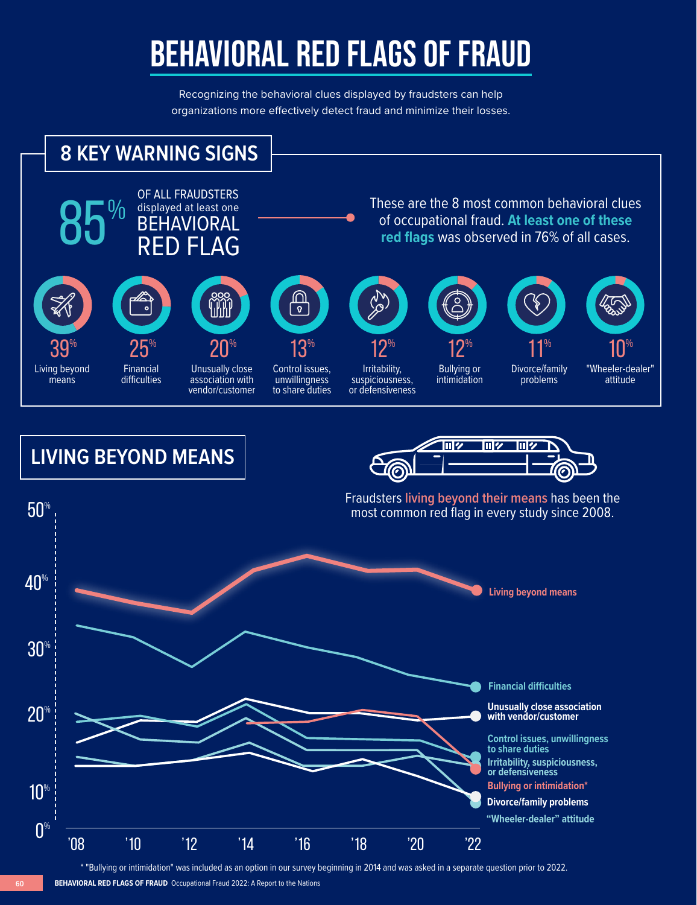## **BEHAVIORAL RED FLAGS OF FRAUD**

Recognizing the behavioral clues displayed by fraudsters can help organizations more effectively detect fraud and minimize their losses.



\* "Bullying or intimidation" was included as an option in our survey beginning in 2014 and was asked in a separate question prior to 2022.